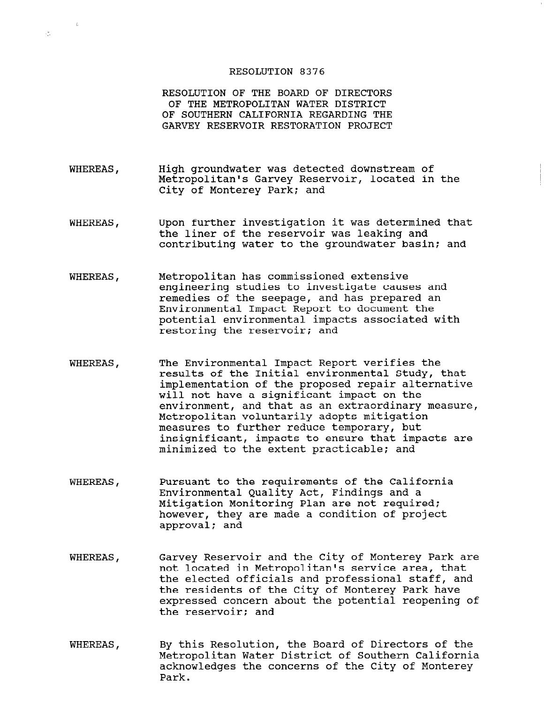## RESOLUTION 8376

 $\bar{L}$ 

 $\sqrt{2}$  .

RESOLUTION OF THE BOARD OF DIRECTORS OF THE METROPOLITAN WATER DISTRICT OF SOUTHERN CALIFORNIA REGARDING THE GARVEY RESERVOIR RESTORATION PROJECT

- WHEREAS, High groundwater was detected downstream of Metropolitan's Garvey Reservoir, located in the City of Monterey Park; and
- WHEREAS, Upon further investigation it was determined that the liner of the reservoir was leaking and contributing water to the groundwater basin: and
- WHEREAS, Metropolitan has commissioned extensive engineering studies to investigate causes and remedies of the seepage, and has prepared an Environmental Impact Report to document the potential environmental impacts associated with restoring the reservoir; and
- WHEREAS, The Environmental Impact Report verifies the results of the Initial environmental Study, that implementation of the proposed repair alternative will not have a significant impact on the environment, and that as an extraordinary measure, Metropolitan voluntarily adopts mitigation measures to further reduce temporary, but insignificant, impacts to ensure that impacts are minimized to the extent practicable: and
- WHEREAS, Pursuant to the requirements of the California Environmental Quality Act, Findings and a Environmental Quality ACt, findings and a Mitigation Monitoring Plan are not required;<br>however, they are made a condition of project approval; and
- WHEREAS, Garvey Reservoir and the City of Monterey Park are not vey keservolf and the tity of monterey raik not focated in metropolitan's service area, that the efected Officials and professional staff, a expressed concern about the potential recognize of expressed concern<br>...
- WHEREAS, By this Resolution, the Board of Directors of the By this Resolution, the Board of Directors of t Metropolitan Water District of Southern California acknowledges the concerns of the City of Monterey<br>Park.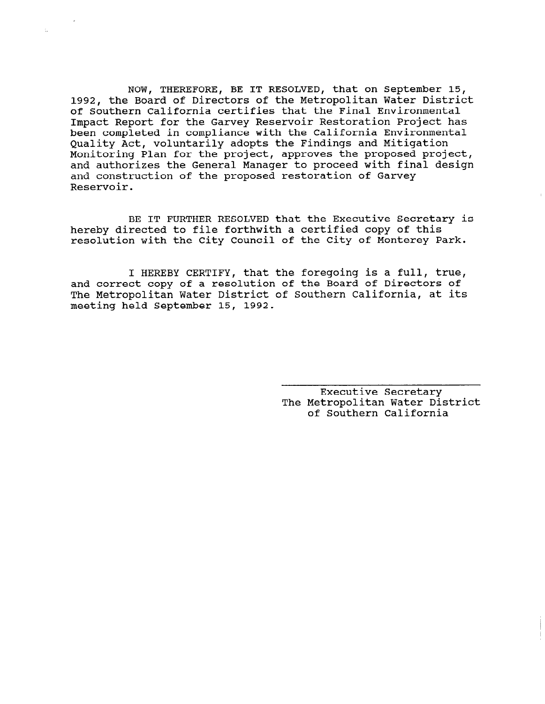NOW, THEREFORE, BE IT RESOLVED, that on September 15, 1992, the Board of Directors of the Metropolitan Water District of Southern California certifies that the Final Environmental Impact Report for the Garvey Reservoir Restoration Project has been completed in compliance with the California Environmental Quality Act, voluntarily adopts the Findings and Mitigation Monitoring Plan for the project, approves the proposed project, and authorizes the General Manager to proceed with final design and construction of the proposed restoration of Garvey Reservoir.

BE IT FURTHER RESOLVED that the Executive Secretary is hereby directed to file forthwith a certified copy of this resolution with the City Council of the City of Monterey Park.

I HEREBY CERTIFY, that the foregoing is a full, true, and correct copy of a resolution of the Board of Directors of The Metropolitan Water District of Southern California, at its meeting held September 15, 1992.

> Executive Secretary The Metropolitan Water District of Southern California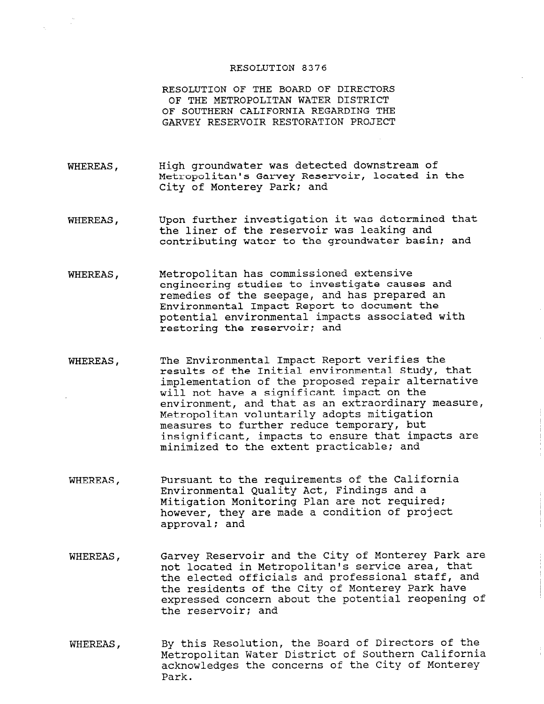## RESOLUTION 8376

RESOLUTION OF THE BOARD OF DIRECTORS OF THE METROPOLITAN WATER DISTRICT OF SOUTHERN CALIFORNIA REGARDING THE GARVEY RESERVOIR RESTORATION PROJECT

- WHEREAS, High groundwater was detected downstream of Metropolitan's Garvey Reservoir, located in the City of Monterey Park: and
- WHEREAS, Upon further investigation it was determined that the liner of the reservoir was leaking and contributing water to the groundwater basin; and
- WHEREAS, Metropolitan has commissioned extensive engineering studies to investigate causes and remedies of the seepage, and has prepared an Environmental Impact Report to document the potential environmental impacts associated with restoring the reservoir; and
- WHEREAS, The Environmental Impact Report verifies the results of the Initial environmental Study, that implementation of the proposed repair alternative will not have a significant impact on the environment, and that as an extraordinary measure, Metropolitan voluntarily adopts mitigation measures to further reduce temporary, but insignificant, impacts to ensure that impacts are minimized to the extent practicable; and
- WHEREAS, Pursuant to the requirements of the California Environmental Quality Act, Findings and a Mitigation Monitoring Plan are not required; however, they are made a condition of project approval; and
- WHEREAS, Garvey Reservoir and the City of Monterey Park are not located in Metropolitan's service area, that not focated in metroportian s service area, that the elected Officials and professional start, a the residents of the tity of monterey raik have expressed concern
- WHEREAS, By this Resolution, the Board of Directors of the By this Resolution, the Board of Directors of the Southern California Metropolitan Water District of Southern California acknowledges the concerns of the City of Monterey<br>Park.